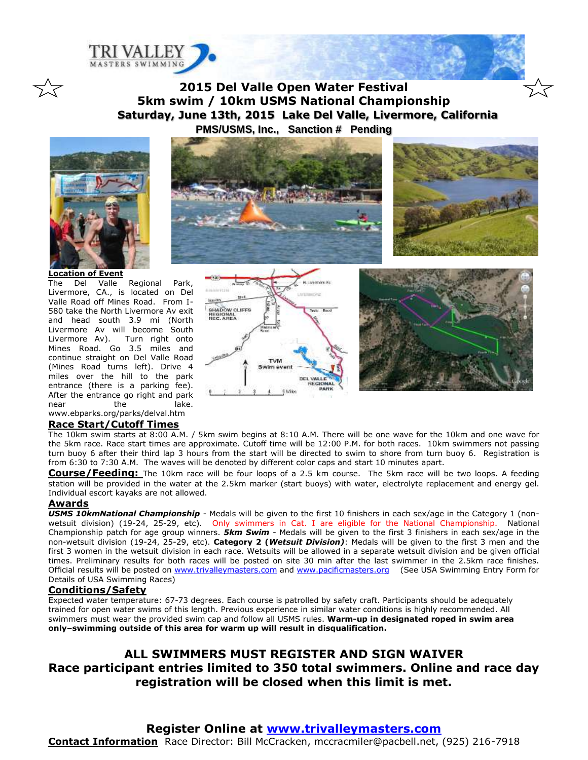

**2015 Del Valle Open Water Festival 5km swim / 10km USMS National Championship Saturday, June 13th, 2015 Lake Del Valle, Livermore, California PMS/USMS, Inc., Sanction # Pending**



**Location of Event**

 $\overline{a}$ 

スマ

The Del Valle Regional Park, Livermore, CA., is located on Del Valle Road off Mines Road. From I-580 take the North Livermore Av exit and head south 3.9 mi (North Livermore Av will become South Livermore Av). Turn right onto Mines Road. Go 3.5 miles and continue straight on Del Valle Road (Mines Road turns left). Drive 4 miles over the hill to the park entrance (there is a parking fee). After the entrance go right and park near the lake. www.ebparks.org/parks/delval.htm

# Search) SHADOW CLIFFS<br>REGIONAL<br>NEC. ANEA **TVM** DEL VALL 5 Miles

#### **Race Start/Cutoff Times**

The 10km swim starts at 8:00 A.M. / 5km swim begins at 8:10 A.M. There will be one wave for the 10km and one wave for the 5km race. Race start times are approximate. Cutoff time will be 12:00 P.M. for both races. 10km swimmers not passing turn buoy 6 after their third lap 3 hours from the start will be directed to swim to shore from turn buoy 6. Registration is from 6:30 to 7:30 A.M. The waves will be denoted by different color caps and start 10 minutes apart.

**Course/Feeding:** The 10km race will be four loops of a 2.5 km course. The 5km race will be two loops. A feeding station will be provided in the water at the 2.5km marker (start buoys) with water, electrolyte replacement and energy gel. Individual escort kayaks are not allowed.

#### **Awards**

*USMS 10kmNational Championship* - Medals will be given to the first 10 finishers in each sex/age in the Category 1 (nonwetsuit division) (19-24, 25-29, etc). Only swimmers in Cat. I are eligible for the National Championship. National Championship patch for age group winners. *5km Swim* - Medals will be given to the first 3 finishers in each sex/age in the non-wetsuit division (19-24, 25-29, etc). **Category 2 (***Wetsuit Division)*: Medals will be given to the first 3 men and the first 3 women in the wetsuit division in each race. Wetsuits will be allowed in a separate wetsuit division and be given official times. Preliminary results for both races will be posted on site 30 min after the last swimmer in the 2.5km race finishes. Official results will be posted on [www.trivalleymasters.com](http://www.trivalleymasters.com/) and [www.pacificmasters.org](http://www.pacificmasters.org/) (See USA Swimming Entry Form for Details of USA Swimming Races)

#### **Conditions/Safety**

Expected water temperature: 67-73 degrees. Each course is patrolled by safety craft. Participants should be adequately trained for open water swims of this length. Previous experience in similar water conditions is highly recommended. All swimmers must wear the provided swim cap and follow all USMS rules. **Warm-up in designated roped in swim area only–swimming outside of this area for warm up will result in disqualification.**

# **ALL SWIMMERS MUST REGISTER AND SIGN WAIVER Race participant entries limited to 350 total swimmers. Online and race day registration will be closed when this limit is met.**

## **Register Online at [www.trivalleymasters.com](http://www.trivalleymasters.com/)**

**Contact Information** Race Director: Bill McCracken, mccracmiler@pacbell.net, (925) 216-7918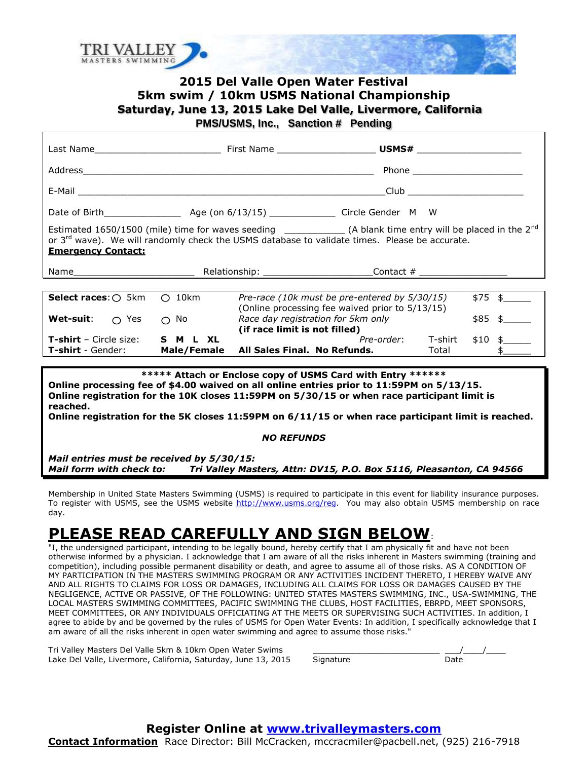

# **2015 Del Valle Open Water Festival 5km swim / 10km USMS National Championship Saturday, June 13, 2015 Lake Del Valle, Livermore, California PMS/USMS, Inc., Sanction # Pending**

Last Name\_\_\_\_\_\_\_\_\_\_\_\_\_\_\_\_\_\_\_\_\_\_\_ First Name \_\_\_\_\_\_\_\_\_\_\_\_\_\_\_\_\_\_ **USMS#** \_\_\_\_\_\_\_\_\_\_\_\_\_\_\_\_\_\_\_ Address\_\_\_\_\_\_\_\_\_\_\_\_\_\_\_\_\_\_\_\_\_\_\_\_\_\_\_\_\_\_\_\_\_\_\_\_\_\_\_\_\_\_\_\_\_\_\_\_\_\_\_\_\_ Phone \_\_\_\_\_\_\_\_\_\_\_\_\_\_\_\_\_\_\_\_ E-Mail 2008 and the contract of the contract of the contract of the contract of the contract of the contract of the contract of the contract of the contract of the contract of the contract of the contract of the contract o Date of Birth  $Age (on 6/13/15)$  Circle Gender M W Estimated 1650/1500 (mile) time for waves seeding \_\_\_\_\_\_\_\_\_\_\_\_\_\_ (A blank time entry will be placed in the 2<sup>nd</sup> or 3<sup>rd</sup> wave). We will randomly check the USMS database to validate times. Please be accurate. **Emergency Contact:**  Name example and the Relationship: the contact  $\#$ **Select races**:  $\bigcirc$  5km  $\bigcirc$  10km *Pre-race (10k must be pre-entered by 5/30/15)* \$75 \$ (Online processing fee waived prior to 5/13/15) **Wet-suit**:  $\bigcap$  Yes  $\bigcap$  No *Race day registration for 5km only* \$85 \$ **(if race limit is not filled) T-shirt** – Circle size: **S M L XL** *Pre-order*: T-shirt \$10 \$\_\_\_\_\_ **T-shirt** - Gender: **Male/Female All Sales Final. No Refunds.** Total \$\_\_\_\_\_

**\*\*\*\*\* Attach or Enclose copy of USMS Card with Entry \*\*\*\*\*\* Online processing fee of \$4.00 waived on all online entries prior to 11:59PM on 5/13/15. Online registration for the 10K closes 11:59PM on 5/30/15 or when race participant limit is reached.**

**Online registration for the 5K closes 11:59PM on 6/11/15 or when race participant limit is reached.**

#### *NO REFUNDS*

*Mail entries must be received by 5/30/15: Mail form with check to: Tri Valley Masters, Attn: DV15, P.O. Box 5116, Pleasanton, CA 94566*

Membership in United State Masters Swimming (USMS) is required to participate in this event for liability insurance purposes. To register with USMS, see the USMS website [http://www.usms.org/reg.](http://www.usms.org/reg) You may also obtain USMS membership on race day.

# **PLEASE READ CAREFULLY AND SIGN BELOW**:

"I, the undersigned participant, intending to be legally bound, hereby certify that I am physically fit and have not been otherwise informed by a physician. I acknowledge that I am aware of all the risks inherent in Masters swimming (training and competition), including possible permanent disability or death, and agree to assume all of those risks. AS A CONDITION OF MY PARTICIPATION IN THE MASTERS SWIMMING PROGRAM OR ANY ACTIVITIES INCIDENT THERETO, I HEREBY WAIVE ANY AND ALL RIGHTS TO CLAIMS FOR LOSS OR DAMAGES, INCLUDING ALL CLAIMS FOR LOSS OR DAMAGES CAUSED BY THE NEGLIGENCE, ACTIVE OR PASSIVE, OF THE FOLLOWING: UNITED STATES MASTERS SWIMMING, INC., USA-SWIMMING, THE LOCAL MASTERS SWIMMING COMMITTEES, PACIFIC SWIMMING THE CLUBS, HOST FACILITIES, EBRPD, MEET SPONSORS, MEET COMMITTEES, OR ANY INDIVIDUALS OFFICIATING AT THE MEETS OR SUPERVISING SUCH ACTIVITIES. In addition, I agree to abide by and be governed by the rules of USMS for Open Water Events: In addition, I specifically acknowledge that I am aware of all the risks inherent in open water swimming and agree to assume those risks."

Tri Valley Masters Del Valle 5km & 10km Open Water Swims Lake Del Valle, Livermore, California, Saturday, June 13, 2015

| Signature | ם דוכו ו |
|-----------|----------|

**Register Online at [www.trivalleymasters.com](http://www.trivalleymasters.com/)**

**Contact Information** Race Director: Bill McCracken, mccracmiler@pacbell.net, (925) 216-7918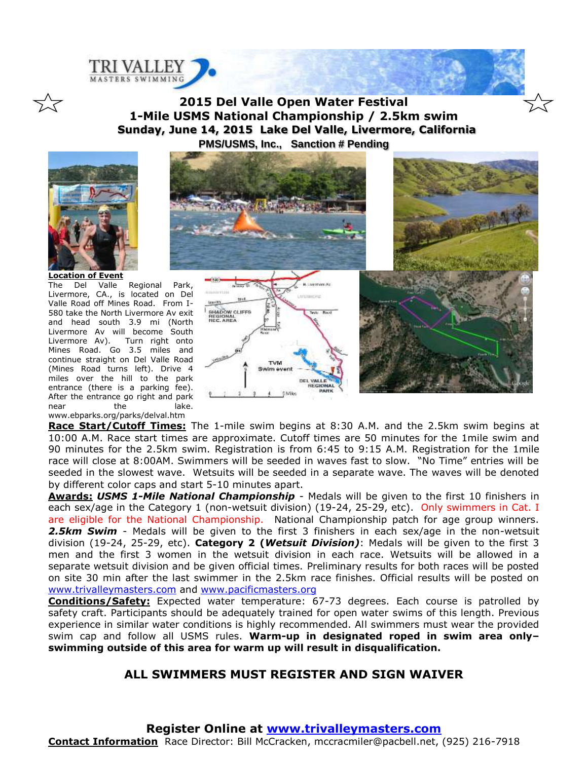

**2015 Del Valle Open Water Festival 1-Mile USMS National Championship / 2.5km swim Sunday, June 14, 2015 Lake Del Valle, Livermore, California PMS/USMS, Inc., Sanction # Pending**



 $\overline{a}$ 

**Location of Event** The Del Valle Regional Park, Livermore, CA., is located on Del Valle Road off Mines Road. From I-580 take the North Livermore Av exit and head south 3.9 mi (North Livermore Av will become South Livermore Av). Turn right onto Mines Road. Go 3.5 miles and continue straight on Del Valle Road (Mines Road turns left). Drive 4 miles over the hill to the park entrance (there is a parking fee). After the entrance go right and park near the lake. www.ebparks.org/parks/delval.htm



**Race Start/Cutoff Times:** The 1-mile swim begins at 8:30 A.M. and the 2.5km swim begins at 10:00 A.M. Race start times are approximate. Cutoff times are 50 minutes for the 1mile swim and 90 minutes for the 2.5km swim. Registration is from 6:45 to 9:15 A.M. Registration for the 1mile race will close at 8:00AM. Swimmers will be seeded in waves fast to slow. "No Time" entries will be seeded in the slowest wave. Wetsuits will be seeded in a separate wave. The waves will be denoted by different color caps and start 5-10 minutes apart.

**Awards:** *USMS 1-Mile National Championship* - Medals will be given to the first 10 finishers in each sex/age in the Category 1 (non-wetsuit division) (19-24, 25-29, etc). Only swimmers in Cat. I are eligible for the National Championship. National Championship patch for age group winners. *2.5km Swim* - Medals will be given to the first 3 finishers in each sex/age in the non-wetsuit division (19-24, 25-29, etc). **Category 2 (***Wetsuit Division)*: Medals will be given to the first 3 men and the first 3 women in the wetsuit division in each race. Wetsuits will be allowed in a separate wetsuit division and be given official times. Preliminary results for both races will be posted on site 30 min after the last swimmer in the 2.5km race finishes. Official results will be posted on [www.trivalleymasters.com](http://www.trivalleymasters.com/) and [www.pacificmasters.org](http://www.pacificmasters.org/)

**Conditions/Safety:** Expected water temperature: 67-73 degrees. Each course is patrolled by safety craft. Participants should be adequately trained for open water swims of this length. Previous experience in similar water conditions is highly recommended. All swimmers must wear the provided swim cap and follow all USMS rules. **Warm-up in designated roped in swim area only– swimming outside of this area for warm up will result in disqualification.**

## **ALL SWIMMERS MUST REGISTER AND SIGN WAIVER**